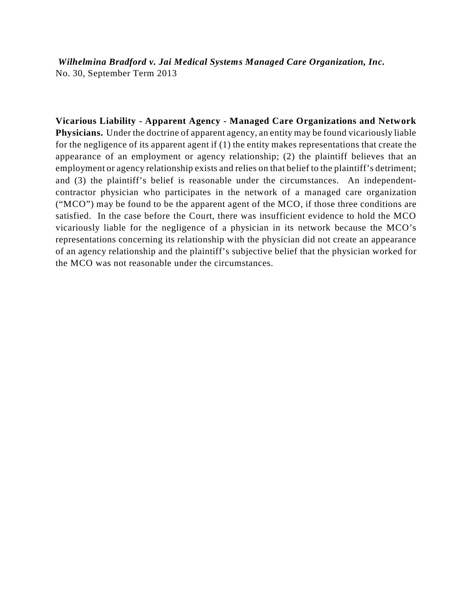*Wilhelmina Bradford v. Jai Medical Systems Managed Care Organization, Inc.* No. 30, September Term 2013

**Vicarious Liability - Apparent Agency - Managed Care Organizations and Network Physicians.** Under the doctrine of apparent agency, an entity may be found vicariously liable for the negligence of its apparent agent if (1) the entity makes representations that create the appearance of an employment or agency relationship; (2) the plaintiff believes that an employment or agency relationship exists and relies on that belief to the plaintiff's detriment; and (3) the plaintiff's belief is reasonable under the circumstances. An independentcontractor physician who participates in the network of a managed care organization ("MCO") may be found to be the apparent agent of the MCO, if those three conditions are satisfied. In the case before the Court, there was insufficient evidence to hold the MCO vicariously liable for the negligence of a physician in its network because the MCO's representations concerning its relationship with the physician did not create an appearance of an agency relationship and the plaintiff's subjective belief that the physician worked for the MCO was not reasonable under the circumstances.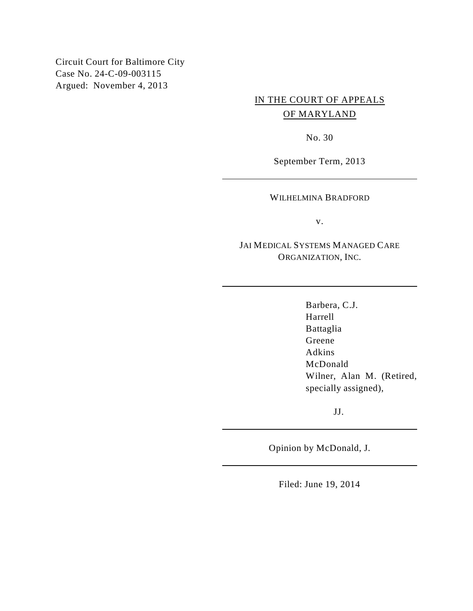Circuit Court for Baltimore City Case No. 24-C-09-003115 Argued: November 4, 2013

# IN THE COURT OF APPEALS OF MARYLAND

No. 30

September Term, 2013

WILHELMINA BRADFORD

v.

JAI MEDICAL SYSTEMS MANAGED CARE ORGANIZATION, INC.

> Barbera, C.J. Harrell Battaglia Greene Adkins McDonald Wilner, Alan M. (Retired, specially assigned),

> > JJ.

Opinion by McDonald, J.

Filed: June 19, 2014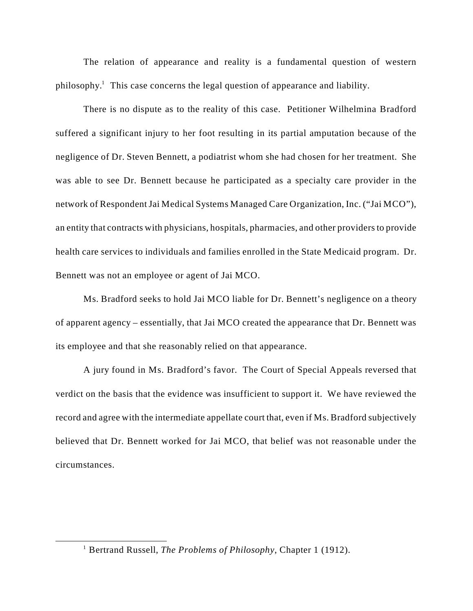The relation of appearance and reality is a fundamental question of western philosophy.<sup>1</sup> This case concerns the legal question of appearance and liability.

There is no dispute as to the reality of this case. Petitioner Wilhelmina Bradford suffered a significant injury to her foot resulting in its partial amputation because of the negligence of Dr. Steven Bennett, a podiatrist whom she had chosen for her treatment. She was able to see Dr. Bennett because he participated as a specialty care provider in the network of Respondent Jai Medical Systems Managed Care Organization, Inc. ("Jai MCO"), an entity that contracts with physicians, hospitals, pharmacies, and other providers to provide health care services to individuals and families enrolled in the State Medicaid program. Dr. Bennett was not an employee or agent of Jai MCO.

Ms. Bradford seeks to hold Jai MCO liable for Dr. Bennett's negligence on a theory of apparent agency – essentially, that Jai MCO created the appearance that Dr. Bennett was its employee and that she reasonably relied on that appearance.

A jury found in Ms. Bradford's favor. The Court of Special Appeals reversed that verdict on the basis that the evidence was insufficient to support it. We have reviewed the record and agree with the intermediate appellate court that, even if Ms. Bradford subjectively believed that Dr. Bennett worked for Jai MCO, that belief was not reasonable under the circumstances.

<sup>&</sup>lt;sup>1</sup> Bertrand Russell, *The Problems of Philosophy*, Chapter 1 (1912).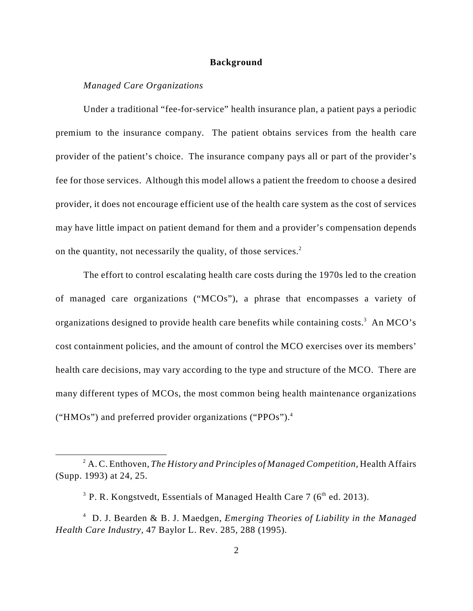#### **Background**

#### *Managed Care Organizations*

Under a traditional "fee-for-service" health insurance plan, a patient pays a periodic premium to the insurance company. The patient obtains services from the health care provider of the patient's choice. The insurance company pays all or part of the provider's fee for those services. Although this model allows a patient the freedom to choose a desired provider, it does not encourage efficient use of the health care system as the cost of services may have little impact on patient demand for them and a provider's compensation depends on the quantity, not necessarily the quality, of those services. <sup>2</sup>

The effort to control escalating health care costs during the 1970s led to the creation of managed care organizations ("MCOs"), a phrase that encompasses a variety of organizations designed to provide health care benefits while containing costs.<sup>3</sup> An MCO's cost containment policies, and the amount of control the MCO exercises over its members' health care decisions, may vary according to the type and structure of the MCO. There are many different types of MCOs, the most common being health maintenance organizations ("HMOs") and preferred provider organizations ("PPOs").<sup>4</sup>

<sup>&</sup>lt;sup>2</sup> A. C. Enthoven, *The History and Principles of Managed Competition*, Health Affairs (Supp. 1993) at 24, 25.

<sup>&</sup>lt;sup>3</sup> P. R. Kongstvedt, Essentials of Managed Health Care 7 ( $6<sup>th</sup>$  ed. 2013).

D. J. Bearden & B. J. Maedgen, *Emerging Theories of Liability in the Managed* <sup>4</sup> *Health Care Industry*, 47 Baylor L. Rev. 285, 288 (1995).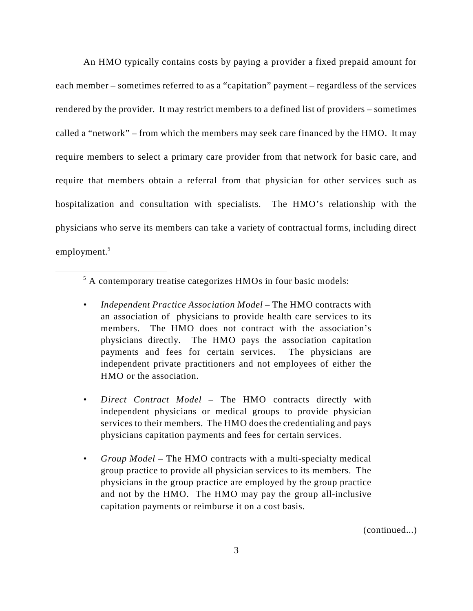An HMO typically contains costs by paying a provider a fixed prepaid amount for each member – sometimes referred to as a "capitation" payment – regardless of the services rendered by the provider. It may restrict members to a defined list of providers – sometimes called a "network" – from which the members may seek care financed by the HMO. It may require members to select a primary care provider from that network for basic care, and require that members obtain a referral from that physician for other services such as hospitalization and consultation with specialists. The HMO's relationship with the physicians who serve its members can take a variety of contractual forms, including direct employment.<sup>5</sup>

(continued...)

 $<sup>5</sup>$  A contemporary treatise categorizes HMOs in four basic models:</sup>

<sup>•</sup> *Independent Practice Association Model* – The HMO contracts with an association of physicians to provide health care services to its members. The HMO does not contract with the association's physicians directly. The HMO pays the association capitation payments and fees for certain services. The physicians are independent private practitioners and not employees of either the HMO or the association.

<sup>•</sup> *Direct Contract Model* – The HMO contracts directly with independent physicians or medical groups to provide physician services to their members. The HMO does the credentialing and pays physicians capitation payments and fees for certain services.

<sup>•</sup> *Group Model* – The HMO contracts with a multi-specialty medical group practice to provide all physician services to its members. The physicians in the group practice are employed by the group practice and not by the HMO. The HMO may pay the group all-inclusive capitation payments or reimburse it on a cost basis.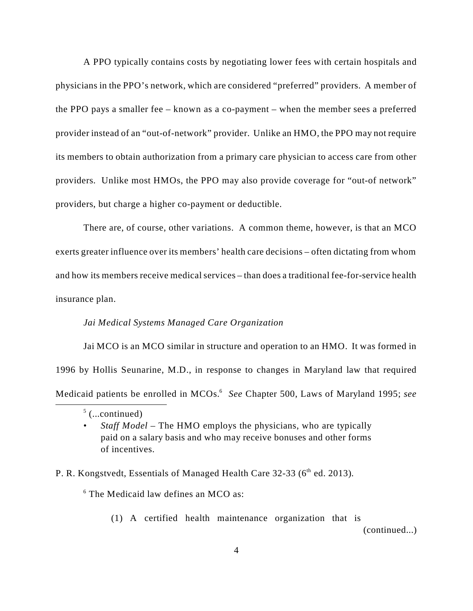A PPO typically contains costs by negotiating lower fees with certain hospitals and physicians in the PPO's network, which are considered "preferred" providers. A member of the PPO pays a smaller fee – known as a co-payment – when the member sees a preferred provider instead of an "out-of-network" provider. Unlike an HMO, the PPO may not require its members to obtain authorization from a primary care physician to access care from other providers. Unlike most HMOs, the PPO may also provide coverage for "out-of network" providers, but charge a higher co-payment or deductible.

There are, of course, other variations. A common theme, however, is that an MCO exerts greater influence over its members' health care decisions – often dictating from whom and how its members receive medical services – than does a traditional fee-for-service health insurance plan.

#### *Jai Medical Systems Managed Care Organization*

Jai MCO is an MCO similar in structure and operation to an HMO. It was formed in 1996 by Hollis Seunarine, M.D., in response to changes in Maryland law that required Medicaid patients be enrolled in MCOs.<sup>6</sup> See Chapter 500, Laws of Maryland 1995; see

## P. R. Kongstvedt, Essentials of Managed Health Care 32-33 (6<sup>th</sup> ed. 2013).

 $6$  The Medicaid law defines an MCO as:

(1) A certified health maintenance organization that is

(continued...)

 $5$  (...continued)

<sup>•</sup> *Staff Model* – The HMO employs the physicians, who are typically paid on a salary basis and who may receive bonuses and other forms of incentives.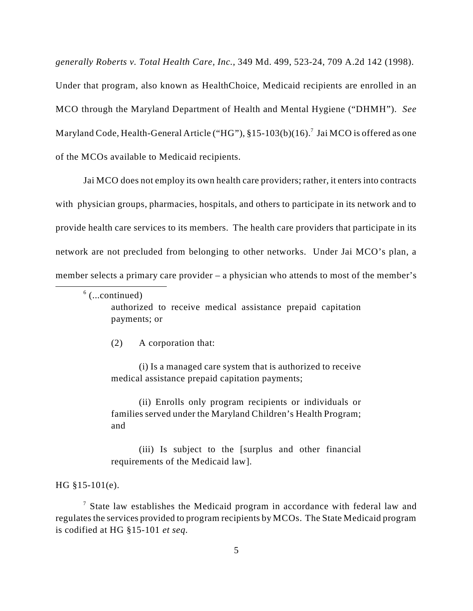*generally Roberts v. Total Health Care, Inc.*, 349 Md. 499, 523-24, 709 A.2d 142 (1998).

Under that program, also known as HealthChoice, Medicaid recipients are enrolled in an MCO through the Maryland Department of Health and Mental Hygiene ("DHMH"). *See* Maryland Code, Health-General Article ("HG"),  $§15-103(b)(16)$ .<sup>7</sup> Jai MCO is offered as one of the MCOs available to Medicaid recipients.

Jai MCO does not employ its own health care providers; rather, it enters into contracts with physician groups, pharmacies, hospitals, and others to participate in its network and to provide health care services to its members. The health care providers that participate in its network are not precluded from belonging to other networks. Under Jai MCO's plan, a member selects a primary care provider – a physician who attends to most of the member's

 $6$  (...continued)

authorized to receive medical assistance prepaid capitation payments; or

(2) A corporation that:

(i) Is a managed care system that is authorized to receive medical assistance prepaid capitation payments;

(ii) Enrolls only program recipients or individuals or families served under the Maryland Children's Health Program; and

(iii) Is subject to the [surplus and other financial requirements of the Medicaid law].

HG §15-101(e).

 $\frac{7}{7}$  State law establishes the Medicaid program in accordance with federal law and regulates the services provided to program recipients by MCOs. The State Medicaid program is codified at HG §15-101 *et seq.*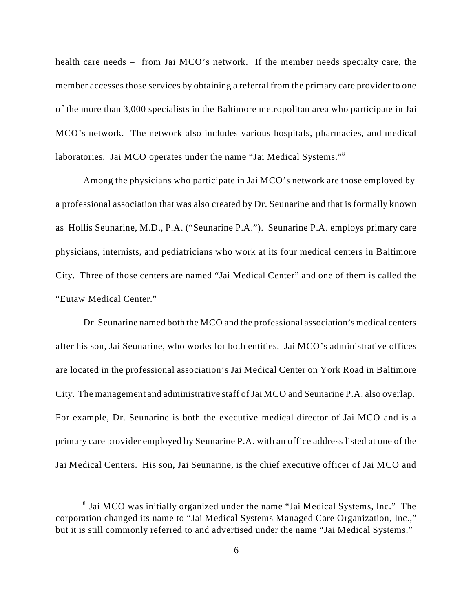health care needs – from Jai MCO's network. If the member needs specialty care, the member accesses those services by obtaining a referral from the primary care provider to one of the more than 3,000 specialists in the Baltimore metropolitan area who participate in Jai MCO's network. The network also includes various hospitals, pharmacies, and medical laboratories. Jai MCO operates under the name "Jai Medical Systems."<sup>8</sup>

Among the physicians who participate in Jai MCO's network are those employed by a professional association that was also created by Dr. Seunarine and that is formally known as Hollis Seunarine, M.D., P.A. ("Seunarine P.A."). Seunarine P.A. employs primary care physicians, internists, and pediatricians who work at its four medical centers in Baltimore City. Three of those centers are named "Jai Medical Center" and one of them is called the "Eutaw Medical Center."

Dr. Seunarine named both the MCO and the professional association's medical centers after his son, Jai Seunarine, who works for both entities. Jai MCO's administrative offices are located in the professional association's Jai Medical Center on York Road in Baltimore City. The management and administrative staff of Jai MCO and Seunarine P.A. also overlap. For example, Dr. Seunarine is both the executive medical director of Jai MCO and is a primary care provider employed by Seunarine P.A. with an office address listed at one of the Jai Medical Centers. His son, Jai Seunarine, is the chief executive officer of Jai MCO and

 $\delta$  Jai MCO was initially organized under the name "Jai Medical Systems, Inc." The corporation changed its name to "Jai Medical Systems Managed Care Organization, Inc.," but it is still commonly referred to and advertised under the name "Jai Medical Systems."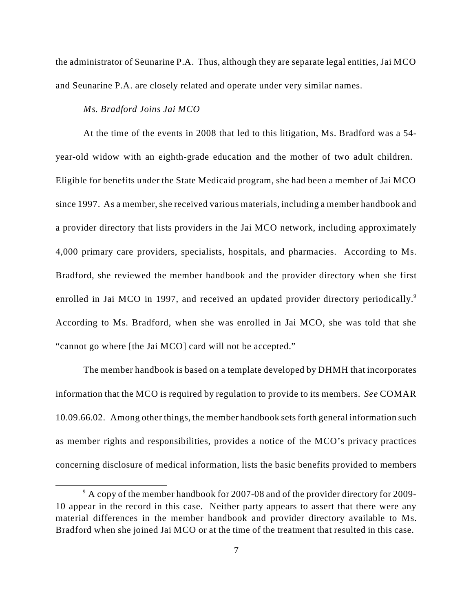the administrator of Seunarine P.A. Thus, although they are separate legal entities, Jai MCO and Seunarine P.A. are closely related and operate under very similar names.

#### *Ms. Bradford Joins Jai MCO*

At the time of the events in 2008 that led to this litigation, Ms. Bradford was a 54 year-old widow with an eighth-grade education and the mother of two adult children. Eligible for benefits under the State Medicaid program, she had been a member of Jai MCO since 1997. As a member, she received various materials, including a member handbook and a provider directory that lists providers in the Jai MCO network, including approximately 4,000 primary care providers, specialists, hospitals, and pharmacies. According to Ms. Bradford, she reviewed the member handbook and the provider directory when she first enrolled in Jai MCO in 1997, and received an updated provider directory periodically.<sup>9</sup> According to Ms. Bradford, when she was enrolled in Jai MCO, she was told that she "cannot go where [the Jai MCO] card will not be accepted."

The member handbook is based on a template developed by DHMH that incorporates information that the MCO is required by regulation to provide to its members. *See* COMAR 10.09.66.02. Among other things, the member handbook sets forth general information such as member rights and responsibilities, provides a notice of the MCO's privacy practices concerning disclosure of medical information, lists the basic benefits provided to members

 $\degree$  A copy of the member handbook for 2007-08 and of the provider directory for 2009-10 appear in the record in this case. Neither party appears to assert that there were any material differences in the member handbook and provider directory available to Ms. Bradford when she joined Jai MCO or at the time of the treatment that resulted in this case.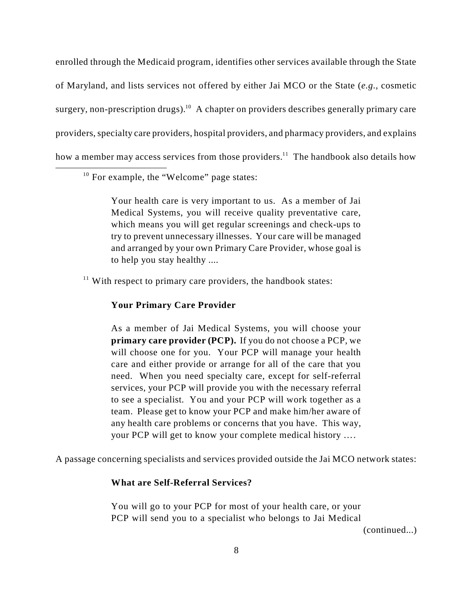enrolled through the Medicaid program, identifies other services available through the State of Maryland, and lists services not offered by either Jai MCO or the State (*e.g.,* cosmetic surgery, non-prescription drugs).<sup>10</sup> A chapter on providers describes generally primary care providers, specialty care providers, hospital providers, and pharmacy providers, and explains how a member may access services from those providers.<sup>11</sup> The handbook also details how

 $10$  For example, the "Welcome" page states:

Your health care is very important to us. As a member of Jai Medical Systems, you will receive quality preventative care, which means you will get regular screenings and check-ups to try to prevent unnecessary illnesses. Your care will be managed and arranged by your own Primary Care Provider, whose goal is to help you stay healthy ....

 $11$  With respect to primary care providers, the handbook states:

#### **Your Primary Care Provider**

As a member of Jai Medical Systems, you will choose your **primary care provider (PCP).** If you do not choose a PCP, we will choose one for you. Your PCP will manage your health care and either provide or arrange for all of the care that you need. When you need specialty care, except for self-referral services, your PCP will provide you with the necessary referral to see a specialist. You and your PCP will work together as a team. Please get to know your PCP and make him/her aware of any health care problems or concerns that you have. This way, your PCP will get to know your complete medical history ….

A passage concerning specialists and services provided outside the Jai MCO network states:

#### **What are Self-Referral Services?**

You will go to your PCP for most of your health care, or your PCP will send you to a specialist who belongs to Jai Medical

(continued...)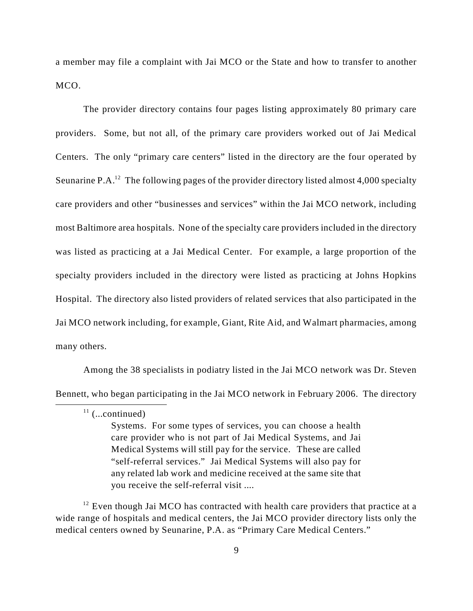a member may file a complaint with Jai MCO or the State and how to transfer to another MCO.

The provider directory contains four pages listing approximately 80 primary care providers. Some, but not all, of the primary care providers worked out of Jai Medical Centers. The only "primary care centers" listed in the directory are the four operated by Seunarine P.A.<sup>12</sup> The following pages of the provider directory listed almost 4,000 specialty care providers and other "businesses and services" within the Jai MCO network, including most Baltimore area hospitals. None of the specialty care providers included in the directory was listed as practicing at a Jai Medical Center. For example, a large proportion of the specialty providers included in the directory were listed as practicing at Johns Hopkins Hospital. The directory also listed providers of related services that also participated in the Jai MCO network including, for example, Giant, Rite Aid, and Walmart pharmacies, among many others.

Among the 38 specialists in podiatry listed in the Jai MCO network was Dr. Steven Bennett, who began participating in the Jai MCO network in February 2006. The directory

Systems. For some types of services, you can choose a health care provider who is not part of Jai Medical Systems, and Jai Medical Systems will still pay for the service. These are called "self-referral services." Jai Medical Systems will also pay for any related lab work and medicine received at the same site that you receive the self-referral visit ....

 $^{12}$  Even though Jai MCO has contracted with health care providers that practice at a wide range of hospitals and medical centers, the Jai MCO provider directory lists only the medical centers owned by Seunarine, P.A. as "Primary Care Medical Centers."

 $11$  (...continued)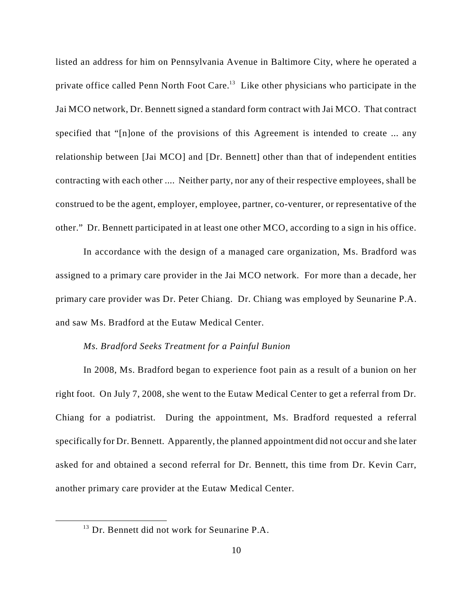listed an address for him on Pennsylvania Avenue in Baltimore City, where he operated a private office called Penn North Foot Care.<sup>13</sup> Like other physicians who participate in the Jai MCO network, Dr. Bennett signed a standard form contract with Jai MCO. That contract specified that "[n]one of the provisions of this Agreement is intended to create ... any relationship between [Jai MCO] and [Dr. Bennett] other than that of independent entities contracting with each other .... Neither party, nor any of their respective employees, shall be construed to be the agent, employer, employee, partner, co-venturer, or representative of the other." Dr. Bennett participated in at least one other MCO, according to a sign in his office.

In accordance with the design of a managed care organization, Ms. Bradford was assigned to a primary care provider in the Jai MCO network. For more than a decade, her primary care provider was Dr. Peter Chiang. Dr. Chiang was employed by Seunarine P.A. and saw Ms. Bradford at the Eutaw Medical Center.

#### *Ms. Bradford Seeks Treatment for a Painful Bunion*

In 2008, Ms. Bradford began to experience foot pain as a result of a bunion on her right foot. On July 7, 2008, she went to the Eutaw Medical Center to get a referral from Dr. Chiang for a podiatrist. During the appointment, Ms. Bradford requested a referral specifically for Dr. Bennett. Apparently, the planned appointment did not occur and she later asked for and obtained a second referral for Dr. Bennett, this time from Dr. Kevin Carr, another primary care provider at the Eutaw Medical Center.

 $13$  Dr. Bennett did not work for Seunarine P.A.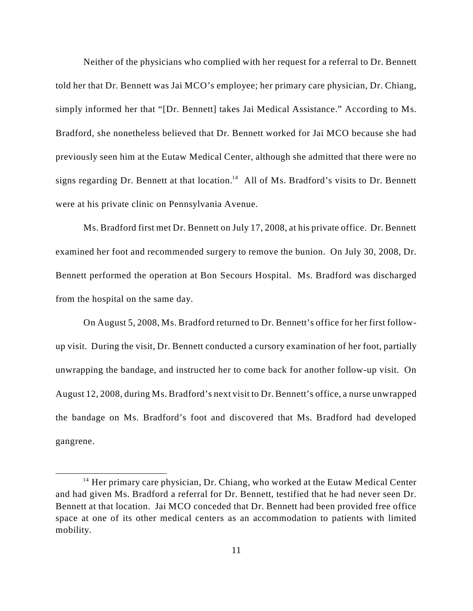Neither of the physicians who complied with her request for a referral to Dr. Bennett told her that Dr. Bennett was Jai MCO's employee; her primary care physician, Dr. Chiang, simply informed her that "[Dr. Bennett] takes Jai Medical Assistance." According to Ms. Bradford, she nonetheless believed that Dr. Bennett worked for Jai MCO because she had previously seen him at the Eutaw Medical Center, although she admitted that there were no signs regarding Dr. Bennett at that location.<sup>14</sup> All of Ms. Bradford's visits to Dr. Bennett were at his private clinic on Pennsylvania Avenue.

Ms. Bradford first met Dr. Bennett on July 17, 2008, at his private office. Dr. Bennett examined her foot and recommended surgery to remove the bunion. On July 30, 2008, Dr. Bennett performed the operation at Bon Secours Hospital. Ms. Bradford was discharged from the hospital on the same day.

On August 5, 2008, Ms. Bradford returned to Dr. Bennett's office for her first followup visit. During the visit, Dr. Bennett conducted a cursory examination of her foot, partially unwrapping the bandage, and instructed her to come back for another follow-up visit. On August 12, 2008, during Ms. Bradford's next visit to Dr. Bennett's office, a nurse unwrapped the bandage on Ms. Bradford's foot and discovered that Ms. Bradford had developed gangrene.

 $14$  Her primary care physician, Dr. Chiang, who worked at the Eutaw Medical Center and had given Ms. Bradford a referral for Dr. Bennett, testified that he had never seen Dr. Bennett at that location. Jai MCO conceded that Dr. Bennett had been provided free office space at one of its other medical centers as an accommodation to patients with limited mobility.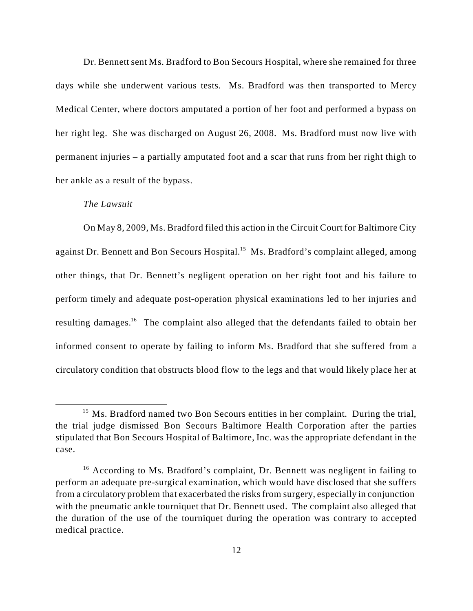Dr. Bennett sent Ms. Bradford to Bon Secours Hospital, where she remained for three days while she underwent various tests. Ms. Bradford was then transported to Mercy Medical Center, where doctors amputated a portion of her foot and performed a bypass on her right leg. She was discharged on August 26, 2008. Ms. Bradford must now live with permanent injuries – a partially amputated foot and a scar that runs from her right thigh to her ankle as a result of the bypass.

## *The Lawsuit*

On May 8, 2009, Ms. Bradford filed this action in the Circuit Court for Baltimore City against Dr. Bennett and Bon Secours Hospital.<sup>15</sup> Ms. Bradford's complaint alleged, among other things, that Dr. Bennett's negligent operation on her right foot and his failure to perform timely and adequate post-operation physical examinations led to her injuries and resulting damages.<sup>16</sup> The complaint also alleged that the defendants failed to obtain her informed consent to operate by failing to inform Ms. Bradford that she suffered from a circulatory condition that obstructs blood flow to the legs and that would likely place her at

<sup>&</sup>lt;sup>15</sup> Ms. Bradford named two Bon Secours entities in her complaint. During the trial, the trial judge dismissed Bon Secours Baltimore Health Corporation after the parties stipulated that Bon Secours Hospital of Baltimore, Inc. was the appropriate defendant in the case.

 $16$  According to Ms. Bradford's complaint, Dr. Bennett was negligent in failing to perform an adequate pre-surgical examination, which would have disclosed that she suffers from a circulatory problem that exacerbated the risks from surgery, especially in conjunction with the pneumatic ankle tourniquet that Dr. Bennett used. The complaint also alleged that the duration of the use of the tourniquet during the operation was contrary to accepted medical practice.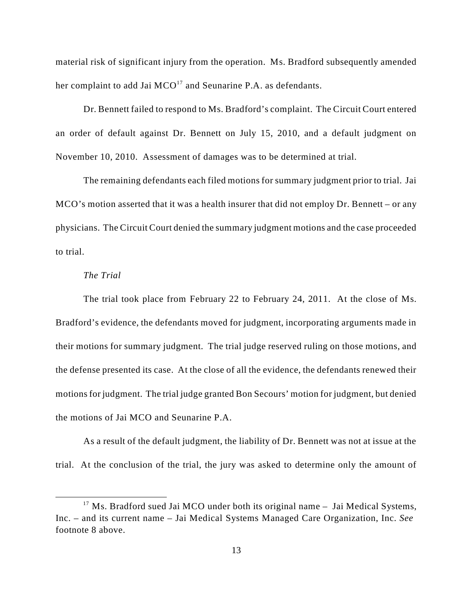material risk of significant injury from the operation. Ms. Bradford subsequently amended her complaint to add Jai  $MCO^{17}$  and Seunarine P.A. as defendants.

Dr. Bennett failed to respond to Ms. Bradford's complaint. The Circuit Court entered an order of default against Dr. Bennett on July 15, 2010, and a default judgment on November 10, 2010. Assessment of damages was to be determined at trial.

The remaining defendants each filed motions for summary judgment prior to trial. Jai MCO's motion asserted that it was a health insurer that did not employ Dr. Bennett – or any physicians. The Circuit Court denied the summary judgment motions and the case proceeded to trial.

#### *The Trial*

The trial took place from February 22 to February 24, 2011. At the close of Ms. Bradford's evidence, the defendants moved for judgment, incorporating arguments made in their motions for summary judgment. The trial judge reserved ruling on those motions, and the defense presented its case. At the close of all the evidence, the defendants renewed their motions for judgment. The trial judge granted Bon Secours' motion for judgment, but denied the motions of Jai MCO and Seunarine P.A.

As a result of the default judgment, the liability of Dr. Bennett was not at issue at the trial. At the conclusion of the trial, the jury was asked to determine only the amount of

 $17$  Ms. Bradford sued Jai MCO under both its original name  $-$  Jai Medical Systems, Inc. – and its current name – Jai Medical Systems Managed Care Organization, Inc. *See* footnote 8 above.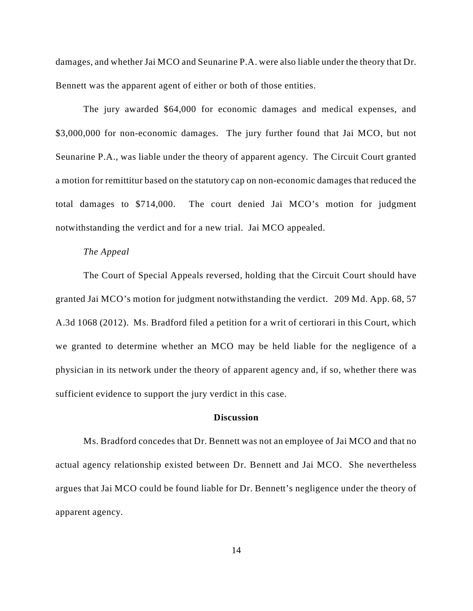damages, and whether Jai MCO and Seunarine P.A. were also liable under the theory that Dr. Bennett was the apparent agent of either or both of those entities.

The jury awarded \$64,000 for economic damages and medical expenses, and \$3,000,000 for non-economic damages. The jury further found that Jai MCO, but not Seunarine P.A., was liable under the theory of apparent agency. The Circuit Court granted a motion for remittitur based on the statutory cap on non-economic damages that reduced the total damages to \$714,000. The court denied Jai MCO's motion for judgment notwithstanding the verdict and for a new trial. Jai MCO appealed.

#### *The Appeal*

The Court of Special Appeals reversed, holding that the Circuit Court should have granted Jai MCO's motion for judgment notwithstanding the verdict. 209 Md. App. 68, 57 A.3d 1068 (2012). Ms. Bradford filed a petition for a writ of certiorari in this Court, which we granted to determine whether an MCO may be held liable for the negligence of a physician in its network under the theory of apparent agency and, if so, whether there was sufficient evidence to support the jury verdict in this case.

#### **Discussion**

Ms. Bradford concedes that Dr. Bennett was not an employee of Jai MCO and that no actual agency relationship existed between Dr. Bennett and Jai MCO. She nevertheless argues that Jai MCO could be found liable for Dr. Bennett's negligence under the theory of apparent agency.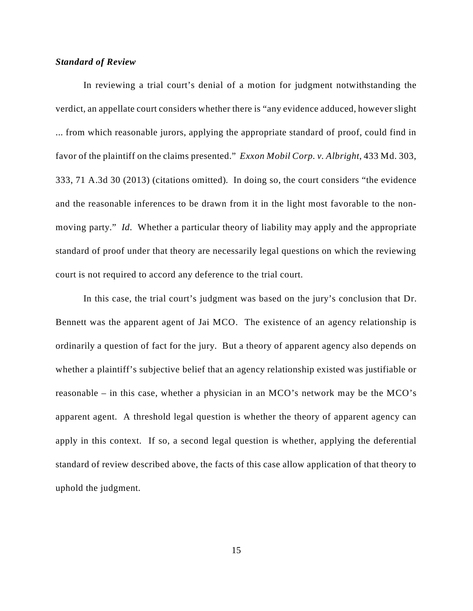#### *Standard of Review*

In reviewing a trial court's denial of a motion for judgment notwithstanding the verdict, an appellate court considers whether there is "any evidence adduced, however slight ... from which reasonable jurors, applying the appropriate standard of proof, could find in favor of the plaintiff on the claims presented." *Exxon Mobil Corp. v. Albright*, 433 Md. 303, 333, 71 A.3d 30 (2013) (citations omitted)*.* In doing so, the court considers "the evidence and the reasonable inferences to be drawn from it in the light most favorable to the nonmoving party." *Id.* Whether a particular theory of liability may apply and the appropriate standard of proof under that theory are necessarily legal questions on which the reviewing court is not required to accord any deference to the trial court.

In this case, the trial court's judgment was based on the jury's conclusion that Dr. Bennett was the apparent agent of Jai MCO. The existence of an agency relationship is ordinarily a question of fact for the jury. But a theory of apparent agency also depends on whether a plaintiff's subjective belief that an agency relationship existed was justifiable or reasonable – in this case, whether a physician in an MCO's network may be the MCO's apparent agent. A threshold legal question is whether the theory of apparent agency can apply in this context. If so, a second legal question is whether, applying the deferential standard of review described above, the facts of this case allow application of that theory to uphold the judgment.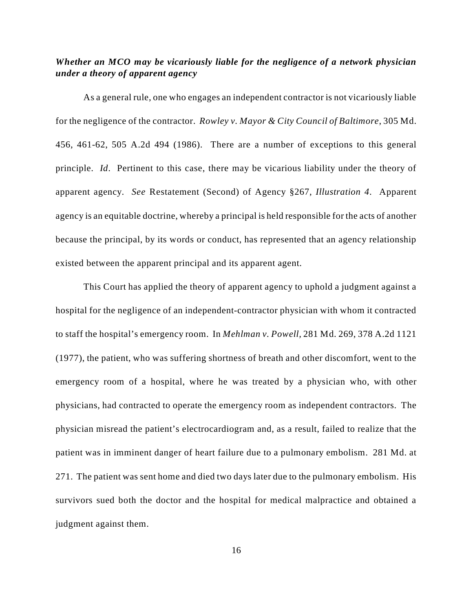## *Whether an MCO may be vicariously liable for the negligence of a network physician under a theory of apparent agency*

As a general rule, one who engages an independent contractor is not vicariously liable for the negligence of the contractor. *Rowley v. Mayor & City Council of Baltimore*, 305 Md. 456, 461-62, 505 A.2d 494 (1986). There are a number of exceptions to this general principle. *Id*. Pertinent to this case, there may be vicarious liability under the theory of apparent agency. *See* Restatement (Second) of Agency §267, *Illustration 4*. Apparent agency is an equitable doctrine, whereby a principal is held responsible for the acts of another because the principal, by its words or conduct, has represented that an agency relationship existed between the apparent principal and its apparent agent.

This Court has applied the theory of apparent agency to uphold a judgment against a hospital for the negligence of an independent-contractor physician with whom it contracted to staff the hospital's emergency room. In *Mehlman v. Powell,* 281 Md. 269, 378 A.2d 1121 (1977), the patient, who was suffering shortness of breath and other discomfort, went to the emergency room of a hospital, where he was treated by a physician who, with other physicians, had contracted to operate the emergency room as independent contractors. The physician misread the patient's electrocardiogram and, as a result, failed to realize that the patient was in imminent danger of heart failure due to a pulmonary embolism. 281 Md. at 271. The patient was sent home and died two days later due to the pulmonary embolism. His survivors sued both the doctor and the hospital for medical malpractice and obtained a judgment against them.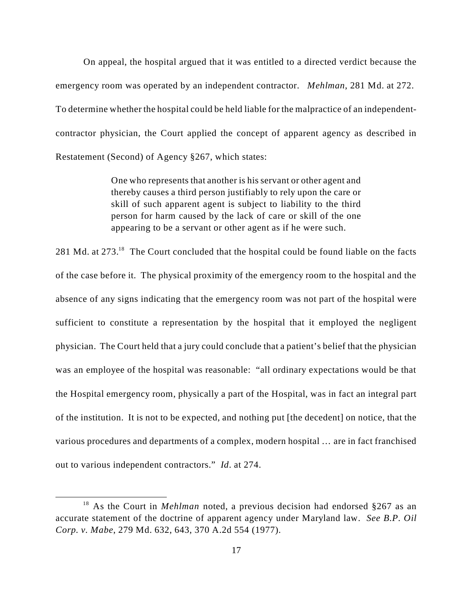On appeal, the hospital argued that it was entitled to a directed verdict because the emergency room was operated by an independent contractor. *Mehlman*, 281 Md. at 272. To determine whether the hospital could be held liable for the malpractice of an independentcontractor physician, the Court applied the concept of apparent agency as described in Restatement (Second) of Agency §267, which states:

> One who represents that another is his servant or other agent and thereby causes a third person justifiably to rely upon the care or skill of such apparent agent is subject to liability to the third person for harm caused by the lack of care or skill of the one appearing to be a servant or other agent as if he were such.

281 Md. at 273.<sup>18</sup> The Court concluded that the hospital could be found liable on the facts of the case before it. The physical proximity of the emergency room to the hospital and the absence of any signs indicating that the emergency room was not part of the hospital were sufficient to constitute a representation by the hospital that it employed the negligent physician. The Court held that a jury could conclude that a patient's belief that the physician was an employee of the hospital was reasonable: "all ordinary expectations would be that the Hospital emergency room, physically a part of the Hospital, was in fact an integral part of the institution. It is not to be expected, and nothing put [the decedent] on notice, that the various procedures and departments of a complex, modern hospital … are in fact franchised out to various independent contractors." *Id*. at 274.

<sup>&</sup>lt;sup>18</sup> As the Court in *Mehlman* noted, a previous decision had endorsed  $§267$  as an accurate statement of the doctrine of apparent agency under Maryland law. *See B.P. Oil Corp. v. Mabe*, 279 Md. 632, 643, 370 A.2d 554 (1977).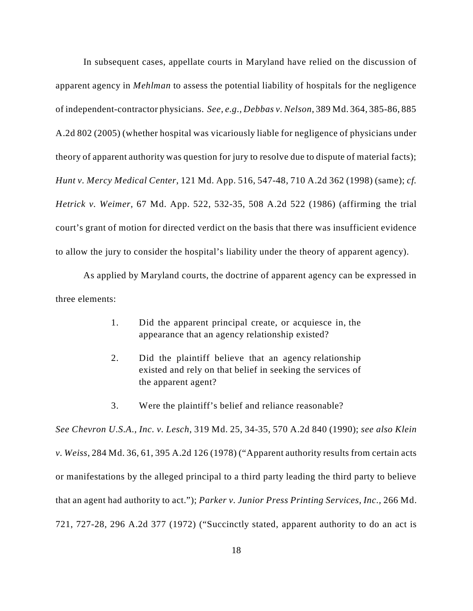In subsequent cases, appellate courts in Maryland have relied on the discussion of apparent agency in *Mehlman* to assess the potential liability of hospitals for the negligence of independent-contractor physicians. *See, e.g., Debbas v. Nelson*, 389 Md. 364, 385-86, 885 A.2d 802 (2005) (whether hospital was vicariously liable for negligence of physicians under theory of apparent authority was question for jury to resolve due to dispute of material facts); *Hunt v. Mercy Medical Center*, 121 Md. App. 516, 547-48, 710 A.2d 362 (1998) (same); *cf. Hetrick v. Weimer,* 67 Md. App. 522, 532-35, 508 A.2d 522 (1986) (affirming the trial court's grant of motion for directed verdict on the basis that there was insufficient evidence to allow the jury to consider the hospital's liability under the theory of apparent agency).

As applied by Maryland courts, the doctrine of apparent agency can be expressed in three elements:

- 1. Did the apparent principal create, or acquiesce in, the appearance that an agency relationship existed?
- 2. Did the plaintiff believe that an agency relationship existed and rely on that belief in seeking the services of the apparent agent?
- 3. Were the plaintiff's belief and reliance reasonable?

*See Chevron U.S.A., Inc. v. Lesch*, 319 Md. 25, 34-35, 570 A.2d 840 (1990); *see also Klein v. Weiss*, 284 Md. 36, 61, 395 A.2d 126 (1978) ("Apparent authority results from certain acts or manifestations by the alleged principal to a third party leading the third party to believe that an agent had authority to act."); *Parker v. Junior Press Printing Services, Inc.,* 266 Md. 721, 727-28, 296 A.2d 377 (1972) ("Succinctly stated, apparent authority to do an act is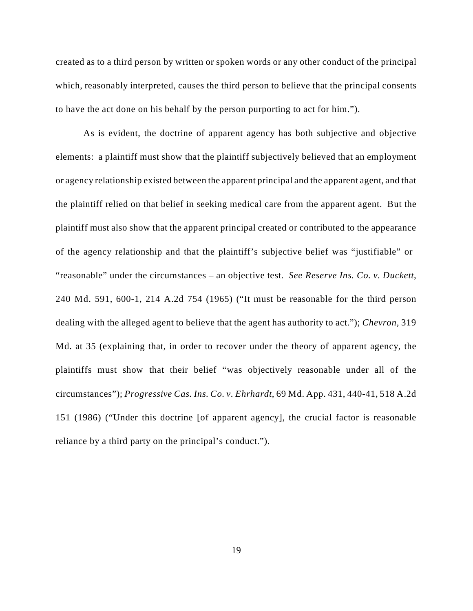created as to a third person by written or spoken words or any other conduct of the principal which, reasonably interpreted, causes the third person to believe that the principal consents to have the act done on his behalf by the person purporting to act for him.").

As is evident, the doctrine of apparent agency has both subjective and objective elements: a plaintiff must show that the plaintiff subjectively believed that an employment or agency relationship existed between the apparent principal and the apparent agent, and that the plaintiff relied on that belief in seeking medical care from the apparent agent. But the plaintiff must also show that the apparent principal created or contributed to the appearance of the agency relationship and that the plaintiff's subjective belief was "justifiable" or "reasonable" under the circumstances – an objective test. *See Reserve Ins. Co. v. Duckett*, 240 Md. 591, 600-1, 214 A.2d 754 (1965) ("It must be reasonable for the third person dealing with the alleged agent to believe that the agent has authority to act."); *Chevron,* 319 Md. at 35 (explaining that, in order to recover under the theory of apparent agency, the plaintiffs must show that their belief "was objectively reasonable under all of the circumstances"); *Progressive Cas. Ins. Co. v. Ehrhardt*, 69 Md. App. 431, 440-41, 518 A.2d 151 (1986) ("Under this doctrine [of apparent agency], the crucial factor is reasonable reliance by a third party on the principal's conduct.").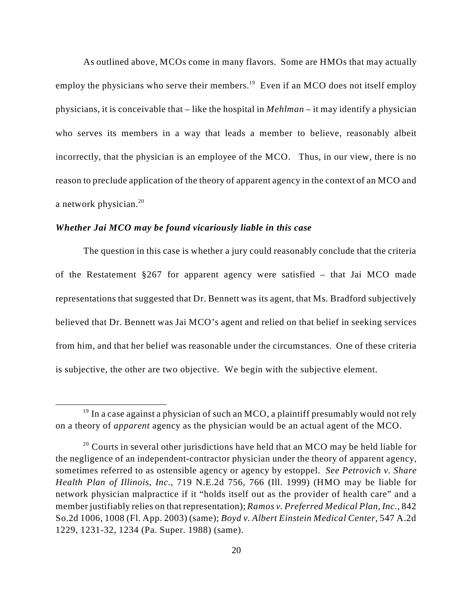As outlined above, MCOs come in many flavors. Some are HMOs that may actually employ the physicians who serve their members.<sup>19</sup> Even if an MCO does not itself employ physicians, it is conceivable that – like the hospital in *Mehlman* – it may identify a physician who serves its members in a way that leads a member to believe, reasonably albeit incorrectly, that the physician is an employee of the MCO. Thus, in our view, there is no reason to preclude application of the theory of apparent agency in the context of an MCO and a network physician.<sup>20</sup>

#### *Whether Jai MCO may be found vicariously liable in this case*

The question in this case is whether a jury could reasonably conclude that the criteria of the Restatement §267 for apparent agency were satisfied – that Jai MCO made representations that suggested that Dr. Bennett was its agent, that Ms. Bradford subjectively believed that Dr. Bennett was Jai MCO's agent and relied on that belief in seeking services from him, and that her belief was reasonable under the circumstances. One of these criteria is subjective, the other are two objective. We begin with the subjective element.

 $19$  In a case against a physician of such an MCO, a plaintiff presumably would not rely on a theory of *apparent* agency as the physician would be an actual agent of the MCO.

 $20$  Courts in several other jurisdictions have held that an MCO may be held liable for the negligence of an independent-contractor physician under the theory of apparent agency, sometimes referred to as ostensible agency or agency by estoppel. *See Petrovich v. Share Health Plan of Illinois, Inc.*, 719 N.E.2d 756, 766 (Ill. 1999) (HMO may be liable for network physician malpractice if it "holds itself out as the provider of health care" and a member justifiably relies on that representation); *Ramos v. Preferred Medical Plan, Inc.,* 842 So.2d 1006, 1008 (Fl. App. 2003) (same); *Boyd v. Albert Einstein Medical Center*, 547 A.2d 1229, 1231-32, 1234 (Pa. Super. 1988) (same).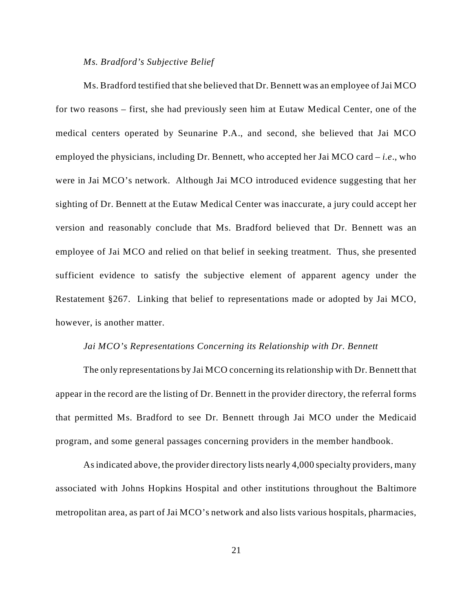#### *Ms. Bradford's Subjective Belief*

Ms. Bradford testified that she believed that Dr. Bennett was an employee of Jai MCO for two reasons – first, she had previously seen him at Eutaw Medical Center, one of the medical centers operated by Seunarine P.A., and second, she believed that Jai MCO employed the physicians, including Dr. Bennett, who accepted her Jai MCO card – *i.e*., who were in Jai MCO's network. Although Jai MCO introduced evidence suggesting that her sighting of Dr. Bennett at the Eutaw Medical Center was inaccurate, a jury could accept her version and reasonably conclude that Ms. Bradford believed that Dr. Bennett was an employee of Jai MCO and relied on that belief in seeking treatment. Thus, she presented sufficient evidence to satisfy the subjective element of apparent agency under the Restatement §267. Linking that belief to representations made or adopted by Jai MCO, however, is another matter.

#### *Jai MCO's Representations Concerning its Relationship with Dr. Bennett*

The only representations by Jai MCO concerning its relationship with Dr. Bennett that appear in the record are the listing of Dr. Bennett in the provider directory, the referral forms that permitted Ms. Bradford to see Dr. Bennett through Jai MCO under the Medicaid program, and some general passages concerning providers in the member handbook.

As indicated above, the provider directory lists nearly 4,000 specialty providers, many associated with Johns Hopkins Hospital and other institutions throughout the Baltimore metropolitan area, as part of Jai MCO's network and also lists various hospitals, pharmacies,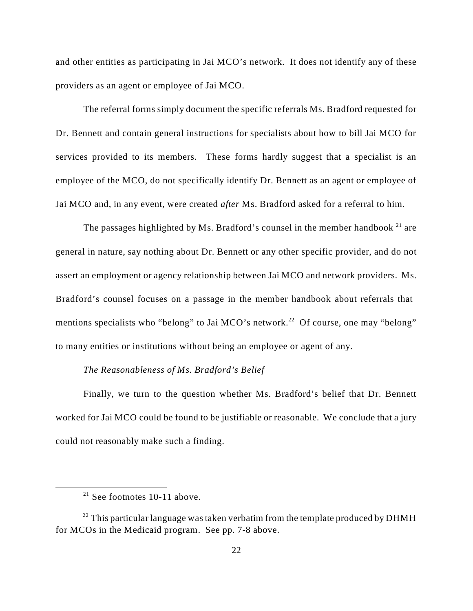and other entities as participating in Jai MCO's network. It does not identify any of these providers as an agent or employee of Jai MCO.

The referral forms simply document the specific referrals Ms. Bradford requested for Dr. Bennett and contain general instructions for specialists about how to bill Jai MCO for services provided to its members. These forms hardly suggest that a specialist is an employee of the MCO, do not specifically identify Dr. Bennett as an agent or employee of Jai MCO and, in any event, were created *after* Ms. Bradford asked for a referral to him.

The passages highlighted by Ms. Bradford's counsel in the member handbook  $21$  are general in nature, say nothing about Dr. Bennett or any other specific provider, and do not assert an employment or agency relationship between Jai MCO and network providers. Ms. Bradford's counsel focuses on a passage in the member handbook about referrals that mentions specialists who "belong" to Jai MCO's network.<sup>22</sup> Of course, one may "belong" to many entities or institutions without being an employee or agent of any.

## *The Reasonableness of Ms. Bradford's Belief*

Finally, we turn to the question whether Ms. Bradford's belief that Dr. Bennett worked for Jai MCO could be found to be justifiable or reasonable. We conclude that a jury could not reasonably make such a finding.

 $21$  See footnotes 10-11 above.

 $22$  This particular language was taken verbatim from the template produced by DHMH for MCOs in the Medicaid program. See pp. 7-8 above.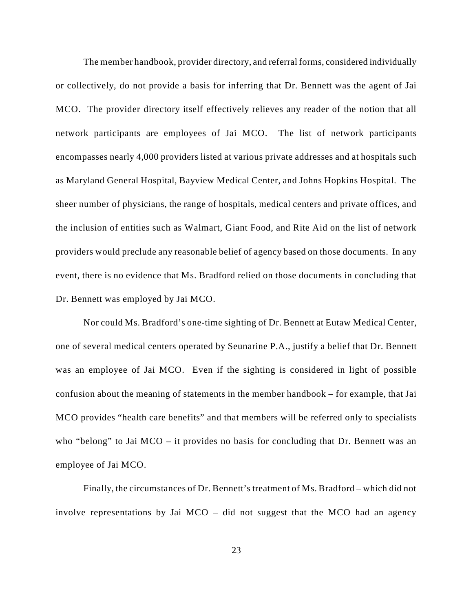The member handbook, provider directory, and referral forms, considered individually or collectively, do not provide a basis for inferring that Dr. Bennett was the agent of Jai MCO. The provider directory itself effectively relieves any reader of the notion that all network participants are employees of Jai MCO. The list of network participants encompasses nearly 4,000 providers listed at various private addresses and at hospitals such as Maryland General Hospital, Bayview Medical Center, and Johns Hopkins Hospital. The sheer number of physicians, the range of hospitals, medical centers and private offices, and the inclusion of entities such as Walmart, Giant Food, and Rite Aid on the list of network providers would preclude any reasonable belief of agency based on those documents. In any event, there is no evidence that Ms. Bradford relied on those documents in concluding that Dr. Bennett was employed by Jai MCO.

Nor could Ms. Bradford's one-time sighting of Dr. Bennett at Eutaw Medical Center, one of several medical centers operated by Seunarine P.A., justify a belief that Dr. Bennett was an employee of Jai MCO. Even if the sighting is considered in light of possible confusion about the meaning of statements in the member handbook – for example, that Jai MCO provides "health care benefits" and that members will be referred only to specialists who "belong" to Jai MCO – it provides no basis for concluding that Dr. Bennett was an employee of Jai MCO.

Finally, the circumstances of Dr. Bennett's treatment of Ms. Bradford – which did not involve representations by Jai MCO – did not suggest that the MCO had an agency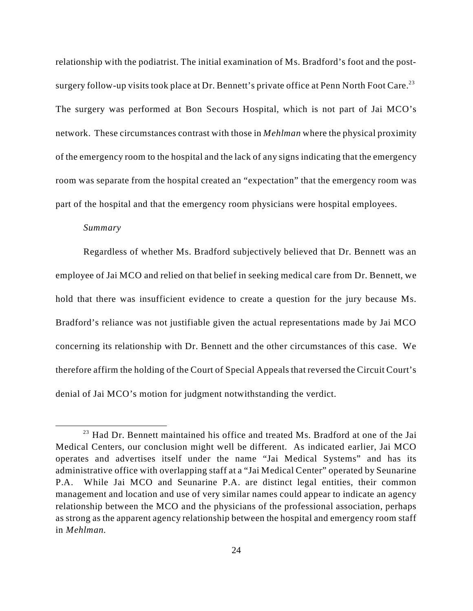relationship with the podiatrist. The initial examination of Ms. Bradford's foot and the postsurgery follow-up visits took place at Dr. Bennett's private office at Penn North Foot Care.<sup>23</sup> The surgery was performed at Bon Secours Hospital, which is not part of Jai MCO's network. These circumstances contrast with those in *Mehlman* where the physical proximity of the emergency room to the hospital and the lack of any signs indicating that the emergency room was separate from the hospital created an "expectation" that the emergency room was part of the hospital and that the emergency room physicians were hospital employees.

#### *Summary*

Regardless of whether Ms. Bradford subjectively believed that Dr. Bennett was an employee of Jai MCO and relied on that belief in seeking medical care from Dr. Bennett, we hold that there was insufficient evidence to create a question for the jury because Ms. Bradford's reliance was not justifiable given the actual representations made by Jai MCO concerning its relationship with Dr. Bennett and the other circumstances of this case. We therefore affirm the holding of the Court of Special Appeals that reversed the Circuit Court's denial of Jai MCO's motion for judgment notwithstanding the verdict.

 $^{23}$  Had Dr. Bennett maintained his office and treated Ms. Bradford at one of the Jai Medical Centers, our conclusion might well be different. As indicated earlier, Jai MCO operates and advertises itself under the name "Jai Medical Systems" and has its administrative office with overlapping staff at a "Jai Medical Center" operated by Seunarine P.A. While Jai MCO and Seunarine P.A. are distinct legal entities, their common management and location and use of very similar names could appear to indicate an agency relationship between the MCO and the physicians of the professional association, perhaps as strong as the apparent agency relationship between the hospital and emergency room staff in *Mehlman.*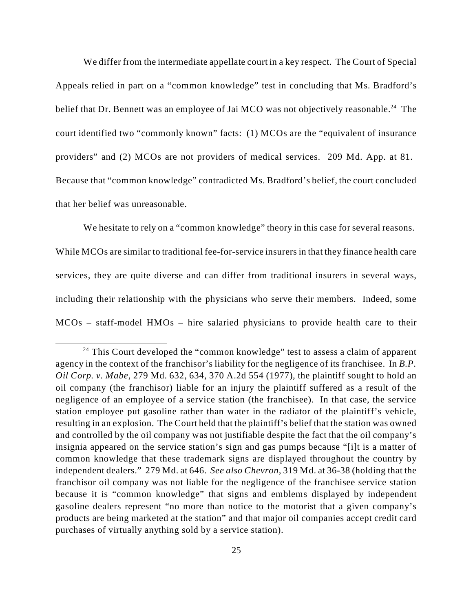We differ from the intermediate appellate court in a key respect. The Court of Special Appeals relied in part on a "common knowledge" test in concluding that Ms. Bradford's belief that Dr. Bennett was an employee of Jai MCO was not objectively reasonable.<sup>24</sup> The court identified two "commonly known" facts: (1) MCOs are the "equivalent of insurance providers" and (2) MCOs are not providers of medical services. 209 Md. App. at 81. Because that "common knowledge" contradicted Ms. Bradford's belief, the court concluded that her belief was unreasonable.

We hesitate to rely on a "common knowledge" theory in this case for several reasons. While MCOs are similar to traditional fee-for-service insurers in that they finance health care services, they are quite diverse and can differ from traditional insurers in several ways, including their relationship with the physicians who serve their members. Indeed, some MCOs – staff-model HMOs – hire salaried physicians to provide health care to their

 $24$  This Court developed the "common knowledge" test to assess a claim of apparent agency in the context of the franchisor's liability for the negligence of its franchisee. In *B.P. Oil Corp. v. Mabe*, 279 Md. 632, 634, 370 A.2d 554 (1977), the plaintiff sought to hold an oil company (the franchisor) liable for an injury the plaintiff suffered as a result of the negligence of an employee of a service station (the franchisee). In that case, the service station employee put gasoline rather than water in the radiator of the plaintiff's vehicle, resulting in an explosion. The Court held that the plaintiff's belief that the station was owned and controlled by the oil company was not justifiable despite the fact that the oil company's insignia appeared on the service station's sign and gas pumps because "[i]t is a matter of common knowledge that these trademark signs are displayed throughout the country by independent dealers." 279 Md. at 646. *See also Chevron*, 319 Md. at 36-38 (holding that the franchisor oil company was not liable for the negligence of the franchisee service station because it is "common knowledge" that signs and emblems displayed by independent gasoline dealers represent "no more than notice to the motorist that a given company's products are being marketed at the station" and that major oil companies accept credit card purchases of virtually anything sold by a service station).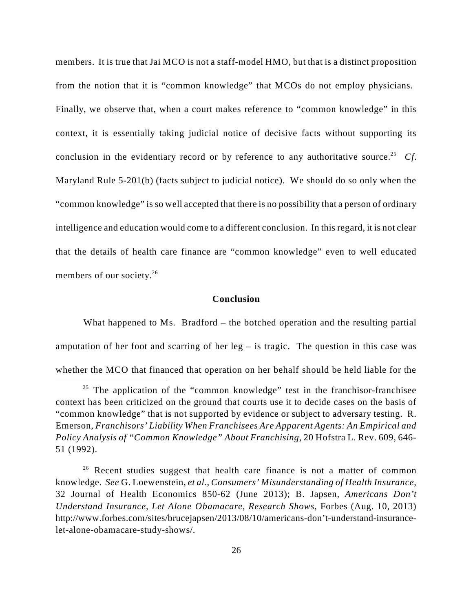members. It is true that Jai MCO is not a staff-model HMO, but that is a distinct proposition from the notion that it is "common knowledge" that MCOs do not employ physicians. Finally, we observe that, when a court makes reference to "common knowledge" in this context, it is essentially taking judicial notice of decisive facts without supporting its conclusion in the evidentiary record or by reference to any authoritative source.<sup>25</sup> Cf. Maryland Rule 5-201(b) (facts subject to judicial notice). We should do so only when the "common knowledge" is so well accepted that there is no possibility that a person of ordinary intelligence and education would come to a different conclusion. In this regard, it is not clear that the details of health care finance are "common knowledge" even to well educated members of our society.<sup>26</sup>

### **Conclusion**

What happened to Ms. Bradford – the botched operation and the resulting partial amputation of her foot and scarring of her  $leg - is \text{ tragic}$ . The question in this case was whether the MCO that financed that operation on her behalf should be held liable for the

 $25$  The application of the "common knowledge" test in the franchisor-franchisee context has been criticized on the ground that courts use it to decide cases on the basis of "common knowledge" that is not supported by evidence or subject to adversary testing. R. Emerson, *Franchisors' Liability When Franchisees Are Apparent Agents: An Empirical and Policy Analysis of "Common Knowledge" About Franchising*, 20 Hofstra L. Rev. 609, 646- 51 (1992).

 $26$  Recent studies suggest that health care finance is not a matter of common knowledge. *See* G. Loewenstein, *et al.*, *Consumers' Misunderstanding of Health Insurance*, 32 Journal of Health Economics 850-62 (June 2013); B. Japsen, *Americans Don't Understand Insurance, Let Alone Obamacare, Research Shows*, Forbes (Aug. 10, 2013) http://www.forbes.com/sites/brucejapsen/2013/08/10/americans-don't-understand-insurancelet-alone-obamacare-study-shows/.